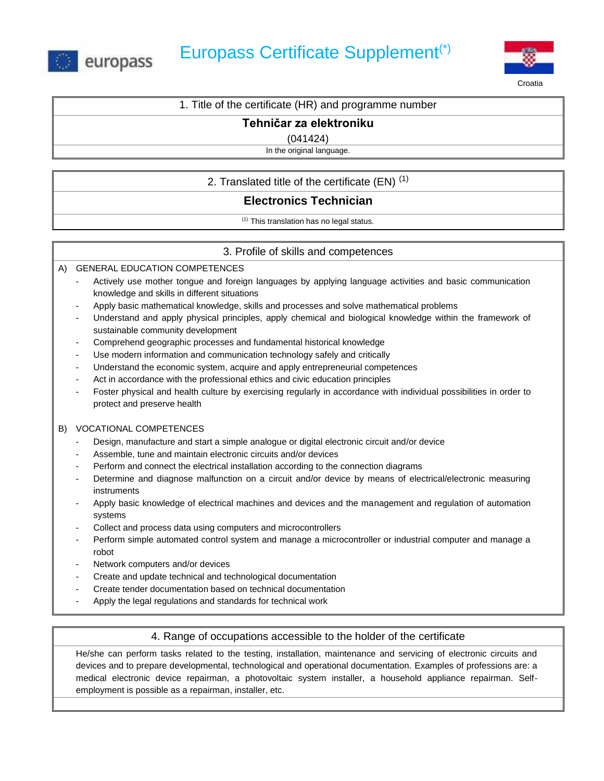



Croatia

## **Tehničar za elektroniku**

(041424)

In the original language.

2. Translated title of the certificate  $(EN)^{(1)}$ 

# **Electronics Technician**

(1) This translation has no legal status.

## 3. Profile of skills and competences

A) GENERAL EDUCATION COMPETENCES

- Actively use mother tongue and foreign languages by applying language activities and basic communication knowledge and skills in different situations
- Apply basic mathematical knowledge, skills and processes and solve mathematical problems
- Understand and apply physical principles, apply chemical and biological knowledge within the framework of sustainable community development
- Comprehend geographic processes and fundamental historical knowledge
- Use modern information and communication technology safely and critically
- Understand the economic system, acquire and apply entrepreneurial competences
- Act in accordance with the professional ethics and civic education principles
- Foster physical and health culture by exercising regularly in accordance with individual possibilities in order to protect and preserve health

### B) VOCATIONAL COMPETENCES

- Design, manufacture and start a simple analogue or digital electronic circuit and/or device
- Assemble, tune and maintain electronic circuits and/or devices
- Perform and connect the electrical installation according to the connection diagrams
- Determine and diagnose malfunction on a circuit and/or device by means of electrical/electronic measuring instruments
- Apply basic knowledge of electrical machines and devices and the management and regulation of automation systems
- Collect and process data using computers and microcontrollers
- Perform simple automated control system and manage a microcontroller or industrial computer and manage a robot
- Network computers and/or devices
- Create and update technical and technological documentation
- Create tender documentation based on technical documentation
- Apply the legal regulations and standards for technical work

## 4. Range of occupations accessible to the holder of the certificate

He/she can perform tasks related to the testing, installation, maintenance and servicing of electronic circuits and devices and to prepare developmental, technological and operational documentation. Examples of professions are: a medical electronic device repairman, a photovoltaic system installer, a household appliance repairman. Selfemployment is possible as a repairman, installer, etc.